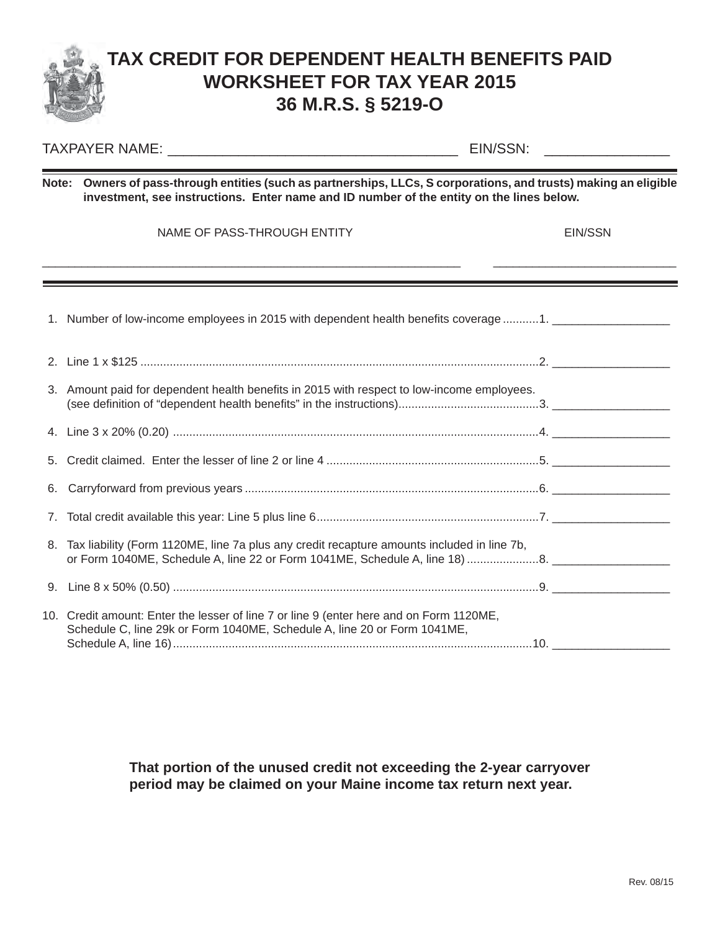## **TAX CREDIT FOR DEPENDENT HEALTH BENEFITS PAID WORKSHEET FOR TAX YEAR 2015 36 M.R.S. § 5219-O**

|                                                                                                                                                                                                               |                                                                                                                                                                     | EIN/SSN: ____________________                                                                                                    |
|---------------------------------------------------------------------------------------------------------------------------------------------------------------------------------------------------------------|---------------------------------------------------------------------------------------------------------------------------------------------------------------------|----------------------------------------------------------------------------------------------------------------------------------|
| Note: Owners of pass-through entities (such as partnerships, LLCs, S corporations, and trusts) making an eligible<br>investment, see instructions. Enter name and ID number of the entity on the lines below. |                                                                                                                                                                     |                                                                                                                                  |
|                                                                                                                                                                                                               | NAME OF PASS-THROUGH ENTITY                                                                                                                                         | EIN/SSN<br><u> 1989 - Johann Harry Harry Harry Harry Harry Harry Harry Harry Harry Harry Harry Harry Harry Harry Harry Harry</u> |
|                                                                                                                                                                                                               |                                                                                                                                                                     |                                                                                                                                  |
|                                                                                                                                                                                                               | 1. Number of low-income employees in 2015 with dependent health benefits coverage 1.                                                                                |                                                                                                                                  |
|                                                                                                                                                                                                               |                                                                                                                                                                     |                                                                                                                                  |
|                                                                                                                                                                                                               | 3. Amount paid for dependent health benefits in 2015 with respect to low-income employees.                                                                          |                                                                                                                                  |
|                                                                                                                                                                                                               |                                                                                                                                                                     |                                                                                                                                  |
|                                                                                                                                                                                                               |                                                                                                                                                                     |                                                                                                                                  |
| 6.                                                                                                                                                                                                            |                                                                                                                                                                     |                                                                                                                                  |
|                                                                                                                                                                                                               |                                                                                                                                                                     |                                                                                                                                  |
| 8.                                                                                                                                                                                                            | Tax liability (Form 1120ME, line 7a plus any credit recapture amounts included in line 7b,                                                                          |                                                                                                                                  |
|                                                                                                                                                                                                               |                                                                                                                                                                     |                                                                                                                                  |
|                                                                                                                                                                                                               | 10. Credit amount: Enter the lesser of line 7 or line 9 (enter here and on Form 1120ME,<br>Schedule C, line 29k or Form 1040ME, Schedule A, line 20 or Form 1041ME, |                                                                                                                                  |

**That portion of the unused credit not exceeding the 2-year carryover period may be claimed on your Maine income tax return next year.**